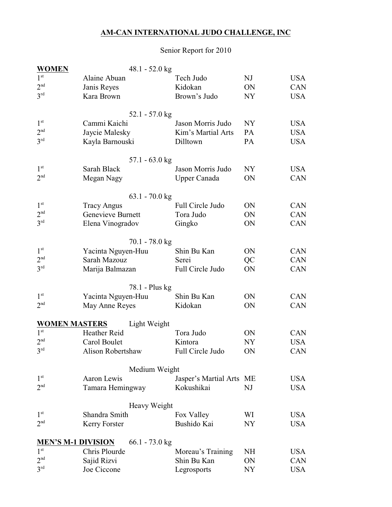## **AM-CAN INTERNATIONAL JUDO CHALLENGE, INC**

## Senior Report for 2010

| <b>WOMEN</b>                                 |                    | 48.1 - 52.0 kg           |                          |                |            |
|----------------------------------------------|--------------------|--------------------------|--------------------------|----------------|------------|
| 1 <sup>st</sup>                              | Alaine Abuan       |                          | Tech Judo                | NJ             | <b>USA</b> |
| 2 <sup>nd</sup>                              | Janis Reyes        |                          | Kidokan                  | ON             | <b>CAN</b> |
| 3 <sup>rd</sup>                              | Kara Brown         |                          | Brown's Judo             | NY             | <b>USA</b> |
|                                              |                    |                          |                          |                |            |
|                                              |                    | $52.1 - 57.0$ kg         |                          |                |            |
| 1 <sup>st</sup>                              | Cammi Kaichi       |                          | Jason Morris Judo        | NY <sub></sub> | <b>USA</b> |
| 2 <sup>nd</sup>                              | Jaycie Malesky     |                          | Kim's Martial Arts       | PA             | <b>USA</b> |
| 3 <sup>rd</sup>                              | Kayla Barnouski    |                          | Dilltown                 | PA             | <b>USA</b> |
|                                              |                    |                          |                          |                |            |
|                                              |                    | 57.1 - $63.0 \text{ kg}$ |                          |                |            |
| 1 <sup>st</sup>                              | Sarah Black        |                          | Jason Morris Judo        | NY.            | <b>USA</b> |
| 2 <sup>nd</sup>                              | Megan Nagy         |                          | <b>Upper Canada</b>      | ON             | <b>CAN</b> |
|                                              |                    |                          |                          |                |            |
|                                              |                    | $63.1 - 70.0$ kg         |                          |                |            |
| 1 <sup>st</sup>                              | <b>Tracy Angus</b> |                          | Full Circle Judo         | ON             | <b>CAN</b> |
| 2 <sup>nd</sup>                              | Genevieve Burnett  |                          | Tora Judo                | ON             | <b>CAN</b> |
| 3 <sup>rd</sup>                              | Elena Vinogradov   |                          | Gingko                   | ON             | <b>CAN</b> |
|                                              |                    |                          |                          |                |            |
|                                              |                    | $70.1 - 78.0$ kg         |                          |                |            |
| 1 <sup>st</sup>                              | Yacinta Nguyen-Huu |                          | Shin Bu Kan              | ON             | <b>CAN</b> |
| 2 <sup>nd</sup>                              | Sarah Mazouz       |                          | Serei                    | QC             | <b>CAN</b> |
| 3 <sup>rd</sup>                              | Marija Balmazan    |                          | Full Circle Judo         | ON             | CAN        |
|                                              |                    |                          |                          |                |            |
|                                              |                    | 78.1 - Plus kg           |                          |                |            |
| 1 <sup>st</sup>                              | Yacinta Nguyen-Huu |                          | Shin Bu Kan              | ON             | <b>CAN</b> |
| 2 <sup>nd</sup>                              | May Anne Reyes     |                          | Kidokan                  | ON             | <b>CAN</b> |
|                                              |                    |                          |                          |                |            |
| <b>WOMEN MASTERS</b>                         |                    | Light Weight             |                          |                |            |
| 1 <sup>st</sup>                              | Heather Reid       |                          | Tora Judo                | ON             | <b>CAN</b> |
| 2 <sup>nd</sup>                              | Carol Boulet       |                          | Kintora                  | <b>NY</b>      | <b>USA</b> |
| 3 <sup>rd</sup>                              | Alison Robertshaw  |                          | Full Circle Judo         | ON             | <b>CAN</b> |
|                                              |                    |                          |                          |                |            |
|                                              |                    | Medium Weight            |                          |                |            |
| 1 <sup>st</sup>                              | Aaron Lewis        |                          | Jasper's Martial Arts ME |                | <b>USA</b> |
| 2 <sup>nd</sup>                              | Tamara Hemingway   |                          | Kokushikai               | NJ             | <b>USA</b> |
|                                              |                    |                          |                          |                |            |
|                                              |                    | Heavy Weight             |                          |                |            |
| 1 <sup>st</sup>                              | Shandra Smith      |                          | Fox Valley               | WI             | USA        |
| 2 <sup>nd</sup>                              | Kerry Forster      |                          | Bushido Kai              | NY             | USA        |
|                                              |                    |                          |                          |                |            |
| <b>MEN'S M-1 DIVISION</b><br>1 <sup>st</sup> |                    | $66.1 - 73.0$ kg         |                          |                |            |
|                                              | Chris Plourde      |                          | Moreau's Training        | NH             | USA        |
| 2 <sup>nd</sup>                              | Sajid Rizvi        |                          | Shin Bu Kan              | ON             | <b>CAN</b> |
| 3 <sup>rd</sup>                              | Joe Ciccone        |                          | Legrosports              | NY             | <b>USA</b> |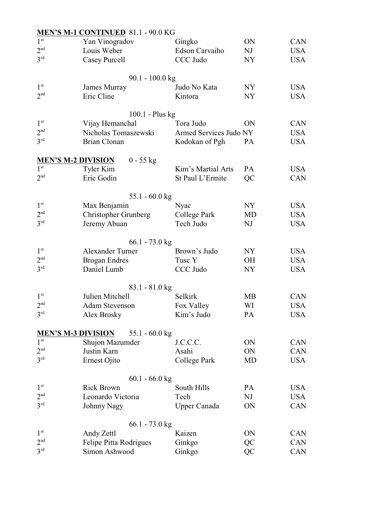|                 | <b>MEN'S M-1 CONTINUED 81.1 - 90.0 KG</b>     |                        |                |            |
|-----------------|-----------------------------------------------|------------------------|----------------|------------|
| 1 <sup>st</sup> | Yan Vinogradov                                | Gingko                 | ON             | <b>CAN</b> |
| 2 <sup>nd</sup> | Louis Weber                                   | Edson Carvaiho         | NJ             | <b>USA</b> |
| 3 <sup>rd</sup> | Casey Purcell                                 | CCC Judo               | NY <sub></sub> | <b>USA</b> |
|                 |                                               |                        |                |            |
|                 | $90.1 - 100.0$ kg                             |                        |                |            |
| 1 <sup>st</sup> | James Murray                                  | Judo No Kata           | NY             | <b>USA</b> |
| 2 <sup>nd</sup> | Eric Cline                                    | Kintora                | <b>NY</b>      | <b>USA</b> |
|                 |                                               |                        |                |            |
|                 | $100.1$ - Plus kg                             |                        |                |            |
| 1 <sup>st</sup> | Vijay Hemanchal                               | Tora Judo              | ON             | <b>CAN</b> |
| 2 <sup>nd</sup> | Nicholas Tomaszewski                          | Armed Services Judo NY |                | <b>USA</b> |
| 3 <sup>rd</sup> | <b>Brian Clonan</b>                           | Kodokan of Pgh         | <b>PA</b>      | <b>USA</b> |
|                 | <b>MEN'S M-2 DIVISION</b><br>$0 - 55$ kg      |                        |                |            |
| 1 <sup>st</sup> | Tyler Kim                                     | Kim's Martial Arts     | PA             | <b>USA</b> |
| 2 <sup>nd</sup> | Eric Godin                                    | St Paul L'Ermite       | QC             | <b>CAN</b> |
|                 |                                               |                        |                |            |
|                 | $55.1 - 60.0$ kg                              |                        |                |            |
| 1 <sup>st</sup> | Max Benjamin                                  | Nyac                   | NY             | <b>USA</b> |
| 2 <sup>nd</sup> | <b>Christopher Grunberg</b>                   | College Park           | MD             | <b>USA</b> |
| 3 <sup>rd</sup> | Jeremy Abuan                                  | Tech Judo              | NJ             | <b>USA</b> |
|                 |                                               |                        |                |            |
|                 | $66.1 - 73.0$ kg                              |                        |                |            |
| 1 <sup>st</sup> | <b>Alexander Turner</b>                       | Brown's Judo           | NY             | <b>USA</b> |
| 2 <sup>nd</sup> | <b>Brogan Endres</b>                          | Tusc Y                 | <b>OH</b>      | <b>USA</b> |
| 3 <sup>rd</sup> | Daniel Lumb                                   | CCC Judo               | NY <sub></sub> | USA        |
|                 |                                               |                        |                |            |
| 1 <sup>st</sup> | $83.1 - 81.0$ kg<br>Julien Mitchell           | Selkirk                | МB             | <b>CAN</b> |
| 2 <sup>nd</sup> | <b>Adam Stevenson</b>                         | Fox Valley             | WI             | <b>USA</b> |
| $3^{\text{rd}}$ | Alex Brosky                                   | Kim's Judo             | PA             | <b>USA</b> |
|                 |                                               |                        |                |            |
|                 | <b>MEN'S M-3 DIVISION</b><br>55.1 - $60.0$ kg |                        |                |            |
| 1 <sup>st</sup> | Shujon Mazumder                               | J.C.C.C.               | ON             | <b>CAN</b> |
| 2 <sup>nd</sup> | Justin Karn                                   | Asahi                  | ON             | CAN        |
| 3 <sup>rd</sup> | Ernest Ojito                                  | College Park           | MD             | <b>USA</b> |
|                 |                                               |                        |                |            |
|                 | $60.1 - 66.0$ kg                              |                        |                |            |
| $1^{\rm st}$    | <b>Rick Brown</b>                             | South Hills            | PA             | USA        |
| 2 <sup>nd</sup> | Leonardo Victoria                             | Tech                   | NJ             | <b>USA</b> |
| 3 <sup>rd</sup> | <b>Johnny Nagy</b>                            | <b>Upper Canada</b>    | ON             | CAN        |
|                 | $66.1 - 73.0$ kg                              |                        |                |            |
| $1^\mathrm{st}$ | Andy Zettl                                    | Kaizen                 | ON             | <b>CAN</b> |
| 2 <sup>nd</sup> | Felipe Pitta Rodrigues                        | Ginkgo                 | QC             | CAN        |
| 3 <sup>rd</sup> | Simon Ashwood                                 | Ginkgo                 | QC             | CAN        |
|                 |                                               |                        |                |            |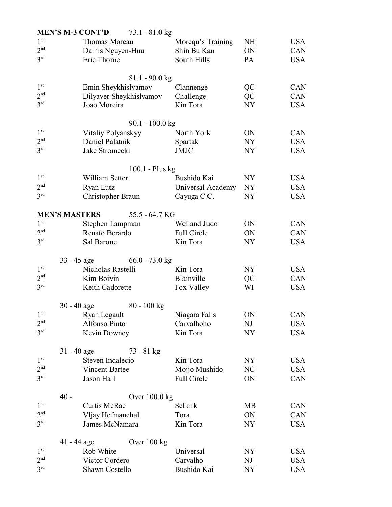|                 |                   | <b>MEN'S M-3 CONT'D</b>     | $73.1 - 81.0$ kg             |                    |                |            |
|-----------------|-------------------|-----------------------------|------------------------------|--------------------|----------------|------------|
| 1 <sup>st</sup> |                   | Thomas Moreau               |                              | Morequ's Training  | <b>NH</b>      | USA        |
| 2 <sup>nd</sup> | Dainis Nguyen-Huu |                             |                              | Shin Bu Kan        | ON             | <b>CAN</b> |
| 3 <sup>rd</sup> | Eric Thorne       |                             |                              | South Hills        | PA             | <b>USA</b> |
|                 |                   |                             |                              |                    |                |            |
|                 |                   |                             | $81.1 - 90.0$ kg             |                    |                |            |
| 1 <sup>st</sup> |                   | Emin Sheykhislyamov         |                              | Clannenge          | QC             | <b>CAN</b> |
| 2 <sup>nd</sup> |                   |                             | Dilyaver Sheykhislyamov      | Challenge          | QC             | <b>CAN</b> |
| 3 <sup>rd</sup> |                   | Joao Moreira                |                              | Kin Tora           | NY <sub></sub> | <b>USA</b> |
|                 |                   |                             |                              |                    |                |            |
|                 |                   |                             | $90.1 - 100.0$ kg            |                    |                |            |
| 1 <sup>st</sup> |                   | Vitaliy Polyanskyy          |                              | North York         | ON             | <b>CAN</b> |
| 2 <sup>nd</sup> |                   | Daniel Palatnik             |                              | Spartak            | NY             | <b>USA</b> |
| $3^{\text{rd}}$ |                   | Jake Stromecki              |                              | <b>JMJC</b>        | NY <sub></sub> | <b>USA</b> |
|                 |                   |                             |                              |                    |                |            |
|                 |                   |                             | $100.1$ - Plus kg            |                    |                |            |
| 1 <sup>st</sup> |                   | William Setter              |                              | Bushido Kai        | NY             | <b>USA</b> |
| 2 <sup>nd</sup> |                   | Ryan Lutz                   |                              | Universal Academy  | NY             | <b>USA</b> |
| 3 <sup>rd</sup> |                   | Christopher Braun           |                              | Cayuga C.C.        | NY             | <b>USA</b> |
|                 |                   |                             |                              |                    |                |            |
|                 |                   | <b>MEN'S MASTERS</b>        | 55.5 - 64.7 KG               |                    |                |            |
| 1 <sup>st</sup> |                   | Stephen Lampman             |                              | Welland Judo       | ON             | <b>CAN</b> |
| 2 <sup>nd</sup> |                   | Renato Berardo              |                              | <b>Full Circle</b> | ON             | <b>CAN</b> |
| 3 <sup>rd</sup> |                   | Sal Barone                  |                              | Kin Tora           | NY             | <b>USA</b> |
|                 |                   |                             |                              |                    |                |            |
|                 |                   |                             | $33 - 45$ age 66.0 - 73.0 kg |                    |                |            |
| 1 <sup>st</sup> |                   | Nicholas Rastelli           |                              | Kin Tora           | NY.            | <b>USA</b> |
| 2 <sup>nd</sup> |                   | Kim Boivin                  |                              | Blainville         | QC             | CAN        |
| 3 <sup>rd</sup> |                   | Keith Cadorette             |                              | Fox Valley         | WI             | <b>USA</b> |
|                 |                   |                             |                              |                    |                |            |
|                 |                   | $30 - 40$ age $80 - 100$ kg |                              |                    |                |            |
| 1 <sup>st</sup> |                   | Ryan Legault                |                              | Niagara Falls      | ON             | CAN        |
| 2 <sup>nd</sup> |                   | Alfonso Pinto               |                              | Carvalhoho         | NJ             | USA        |
| $3^{\text{rd}}$ |                   | Kevin Downey                |                              | Kin Tora           | NY             | <b>USA</b> |
|                 |                   |                             |                              |                    |                |            |
|                 | $31 - 40$ age     |                             | 73 - 81 kg                   |                    |                |            |
| 1 <sup>st</sup> |                   | Steven Indalecio            |                              | Kin Tora           | NY             | <b>USA</b> |
| 2 <sup>nd</sup> |                   | <b>Vincent Bartee</b>       |                              | Mojjo Mushido      | NC             | USA        |
| 3 <sup>rd</sup> |                   | Jason Hall                  |                              | Full Circle        | ON             | CAN        |
|                 |                   |                             |                              |                    |                |            |
|                 | $40 -$            |                             | Over $100.0$ kg              |                    |                |            |
| 1 <sup>st</sup> |                   | Curtis McRae                |                              | Selkirk            | MВ             | CAN        |
| 2 <sup>nd</sup> |                   | Vljay Hefmanchal            |                              | Tora               | ON             | CAN        |
| 3 <sup>rd</sup> |                   | James McNamara              |                              | Kin Tora           | NY             | <b>USA</b> |
|                 |                   |                             |                              |                    |                |            |
|                 | $41 - 44$ age     |                             | Over $100 \text{ kg}$        |                    |                |            |
| $1^{\rm st}$    |                   | Rob White                   |                              | Universal          | NY             | <b>USA</b> |
| 2 <sup>nd</sup> |                   | Victor Cordero              |                              | Carvalho           | NJ             | USA        |
| 3 <sup>rd</sup> |                   | Shawn Costello              |                              | Bushido Kai        | NY             | <b>USA</b> |